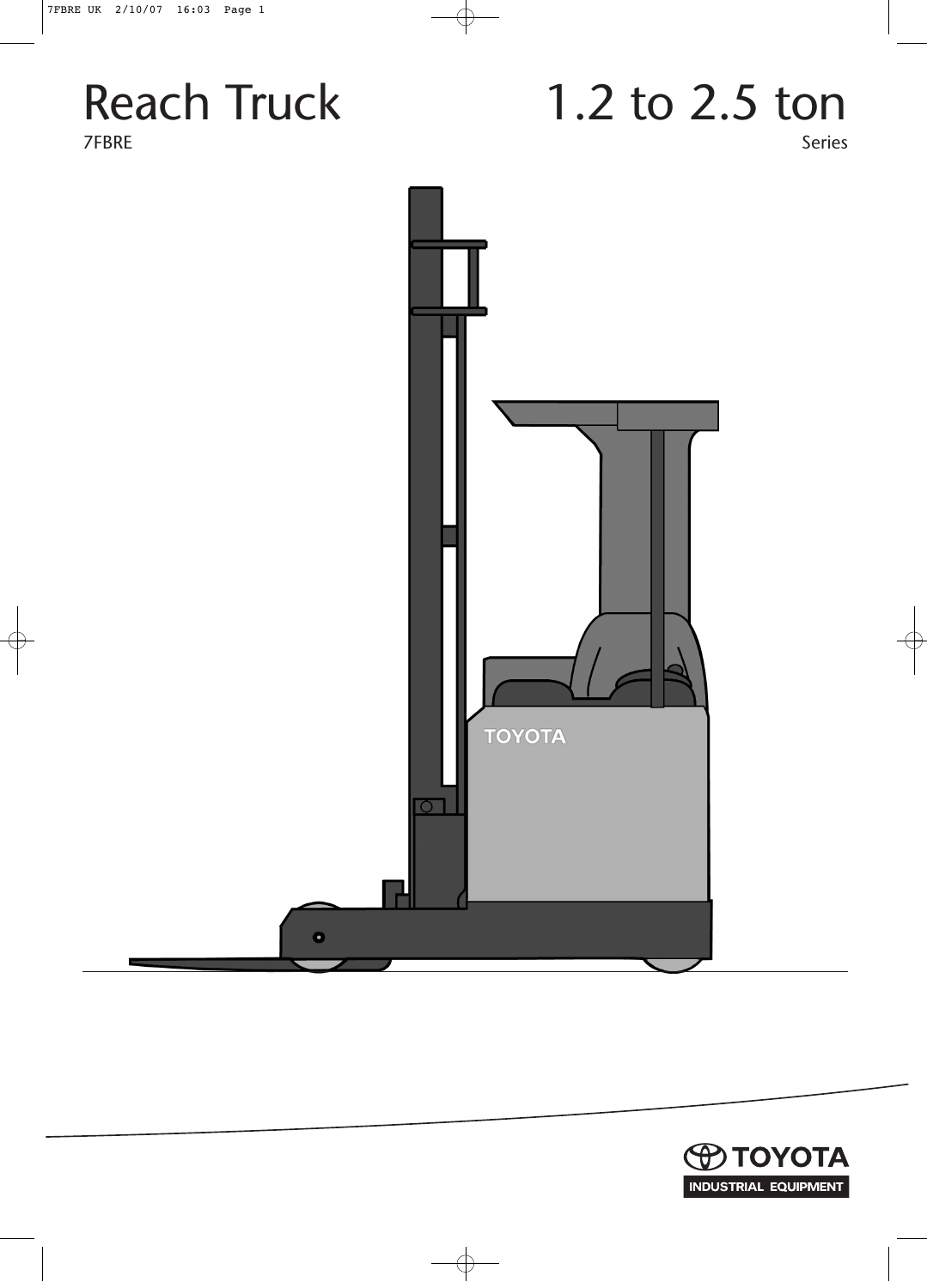# Reach Truck 1.2 to 2.5 ton



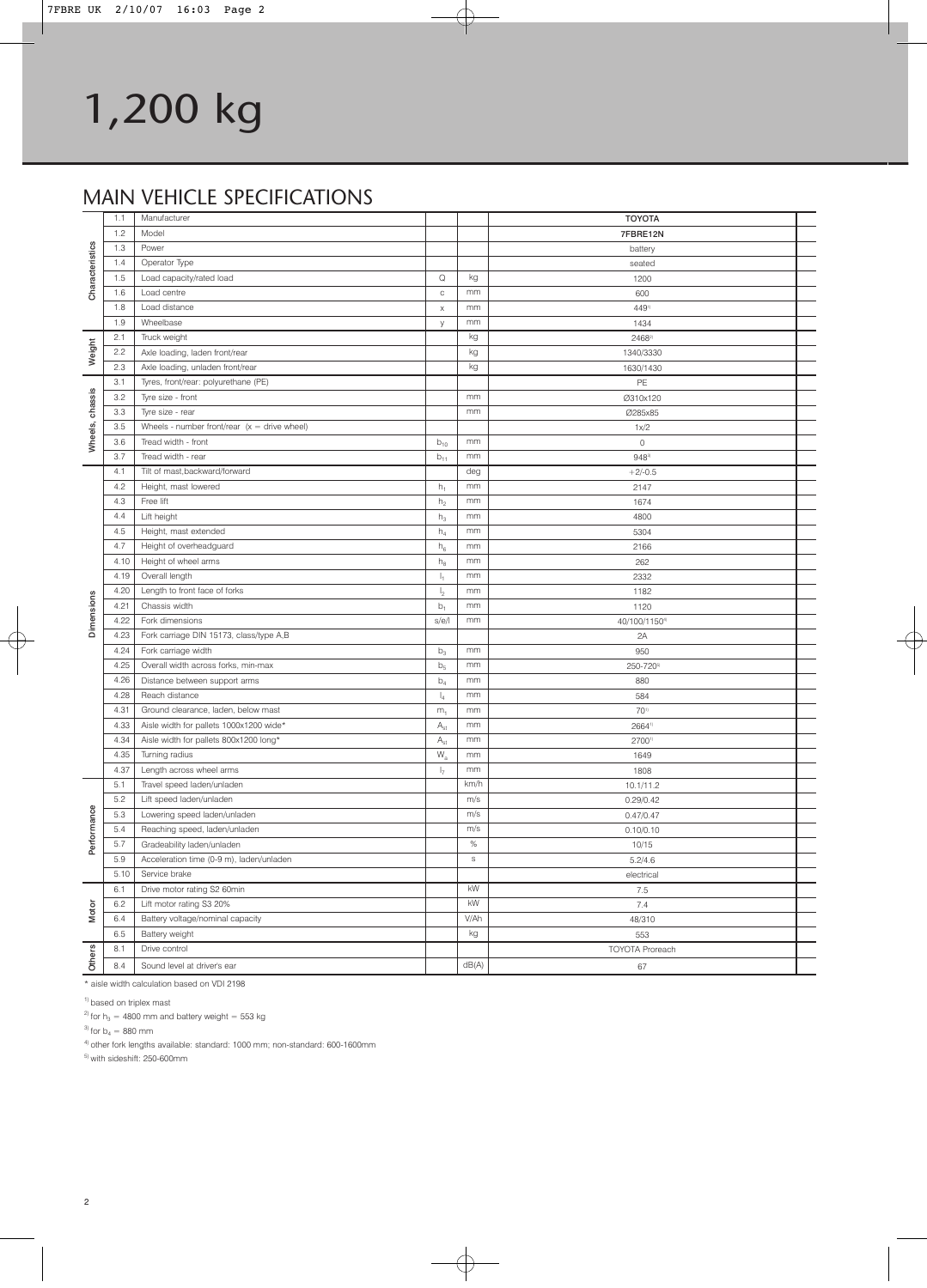|                 | 1.1  | Manufacturer                                   |                 |             | <b>TOYOTA</b>          |  |
|-----------------|------|------------------------------------------------|-----------------|-------------|------------------------|--|
|                 | 1.2  | Model                                          |                 |             | 7FBRE12N               |  |
|                 | 1.3  | Power                                          |                 |             | battery                |  |
|                 | 1.4  | Operator Type                                  |                 |             | seated                 |  |
| Characteristics | 1.5  | Load capacity/rated load                       | Q               | kg          | 1200                   |  |
|                 | 1.6  | Load centre                                    | $\mathbb C$     | mm          | 600                    |  |
|                 | 1.8  | Load distance                                  | $\mathsf X$     | mm          | 4491                   |  |
|                 | 1.9  | Wheelbase                                      | y               | mm          | 1434                   |  |
|                 | 2.1  | Truck weight                                   |                 | kg          | $2468^{2}$             |  |
| Weight          | 2.2  | Axle loading, laden front/rear                 |                 | kg          | 1340/3330              |  |
|                 | 2.3  | Axle loading, unladen front/rear               |                 | kg          | 1630/1430              |  |
|                 | 3.1  | Tyres, front/rear: polyurethane (PE)           |                 |             | PE                     |  |
|                 | 3.2  | Tyre size - front                              |                 | mm          | Ø310x120               |  |
| chassis         | 3.3  | Tyre size - rear                               |                 | mm          | Ø285x85                |  |
|                 | 3.5  | Wheels - number front/rear $(x =$ drive wheel) |                 |             | 1x/2                   |  |
| Wheels,         | 3.6  | Tread width - front                            | $b_{10}$        | mm          | $\mathbb O$            |  |
|                 | 3.7  | Tread width - rear                             | $b_{11}$        | mm          | $948^{3}$              |  |
|                 | 4.1  | Tilt of mast, backward/forward                 |                 | deg         | $+2/-0.5$              |  |
|                 | 4.2  | Height, mast lowered                           | $h_1$           | mm          | 2147                   |  |
|                 | 4.3  | Free lift                                      | h <sub>2</sub>  | mm          | 1674                   |  |
|                 | 4.4  | Lift height                                    | $h_3$           | mm          | 4800                   |  |
|                 | 4.5  | Height, mast extended                          | $h_4$           | mm          | 5304                   |  |
|                 | 4.7  | Height of overheadguard                        | $\mathsf{h}_6$  | mm          | 2166                   |  |
|                 | 4.10 | Height of wheel arms                           | $h_8$           | mm          | 262                    |  |
|                 | 4.19 | Overall length                                 | $\mathsf{I}_1$  | mm          | 2332                   |  |
|                 | 4.20 | Length to front face of forks                  | $\mathsf{I}_2$  | mm          | 1182                   |  |
| Dimensions      | 4.21 | Chassis width                                  | b <sub>1</sub>  | mm          | 1120                   |  |
|                 | 4.22 | Fork dimensions                                | s/e/l           | mm          | 40/100/11504           |  |
|                 | 4.23 | Fork carriage DIN 15173, class/type A,B        |                 |             | 2A                     |  |
|                 | 4.24 | Fork carriage width                            | $b_3$           | mm          | 950                    |  |
|                 | 4.25 | Overall width across forks, min-max            | b <sub>5</sub>  | mm          | 250-7205               |  |
|                 | 4.26 | Distance between support arms                  | $b_4$           | mm          | 880                    |  |
|                 | 4.28 | Reach distance                                 | $I_4$           | mm          | 584                    |  |
|                 | 4.31 | Ground clearance, laden, below mast            | m <sub>1</sub>  | mm          | 701)                   |  |
|                 | 4.33 | Aisle width for pallets 1000x1200 wide*        | A <sub>st</sub> | mm          | 26641)                 |  |
|                 | 4.34 | Aisle width for pallets 800x1200 long*         | A <sub>st</sub> | mm          | 27001)                 |  |
|                 | 4.35 | Turning radius                                 | $W_{a}$         | mm          | 1649                   |  |
|                 | 4.37 | Length across wheel arms                       | $\mathsf{I}_7$  | mm          | 1808                   |  |
|                 | 5.1  | Travel speed laden/unladen                     |                 | km/h        | 10.1/11.2              |  |
|                 | 5.2  | Lift speed laden/unladen                       |                 | m/s         | 0.29/0.42              |  |
|                 | 5.3  | Lowering speed laden/unladen                   |                 | m/s         | 0.47/0.47              |  |
| formance        | 5.4  | Reaching speed, laden/unladen                  |                 | m/s         | 0.10/0.10              |  |
| 혼               | 5.7  | Gradeability laden/unladen                     |                 | $\%$        | 10/15                  |  |
|                 | 5.9  | Acceleration time (0-9 m), laden/unladen       |                 | $\mathbb S$ | 5.2/4.6                |  |
|                 | 5.10 | Service brake                                  |                 |             | electrical             |  |
|                 | 6.1  | Drive motor rating S2 60min                    |                 | kW          | 7.5                    |  |
| Motor           | 6.2  | Lift motor rating S3 20%                       |                 | kW          | 7.4                    |  |
|                 | 6.4  | Battery voltage/nominal capacity               |                 | V/Ah        | 48/310                 |  |
|                 | 6.5  | Battery weight                                 |                 | kg          | 553                    |  |
| Others          | 8.1  | Drive control                                  |                 |             | <b>TOYOTA Proreach</b> |  |
|                 | 8.4  | Sound level at driver's ear                    |                 | dB(A)       | 67                     |  |

\* aisle width calculation based on VDI 2198

<sup>1)</sup> based on triplex mast

<sup>2)</sup> for  $h_3 = 4800$  mm and battery weight = 553 kg

<sup>3)</sup> for  $b_4 = 880$  mm

4) other fork lengths available: standard: 1000 mm; non-standard: 600-1600mm

 $^{5)}$  with sideshift: 250-600mm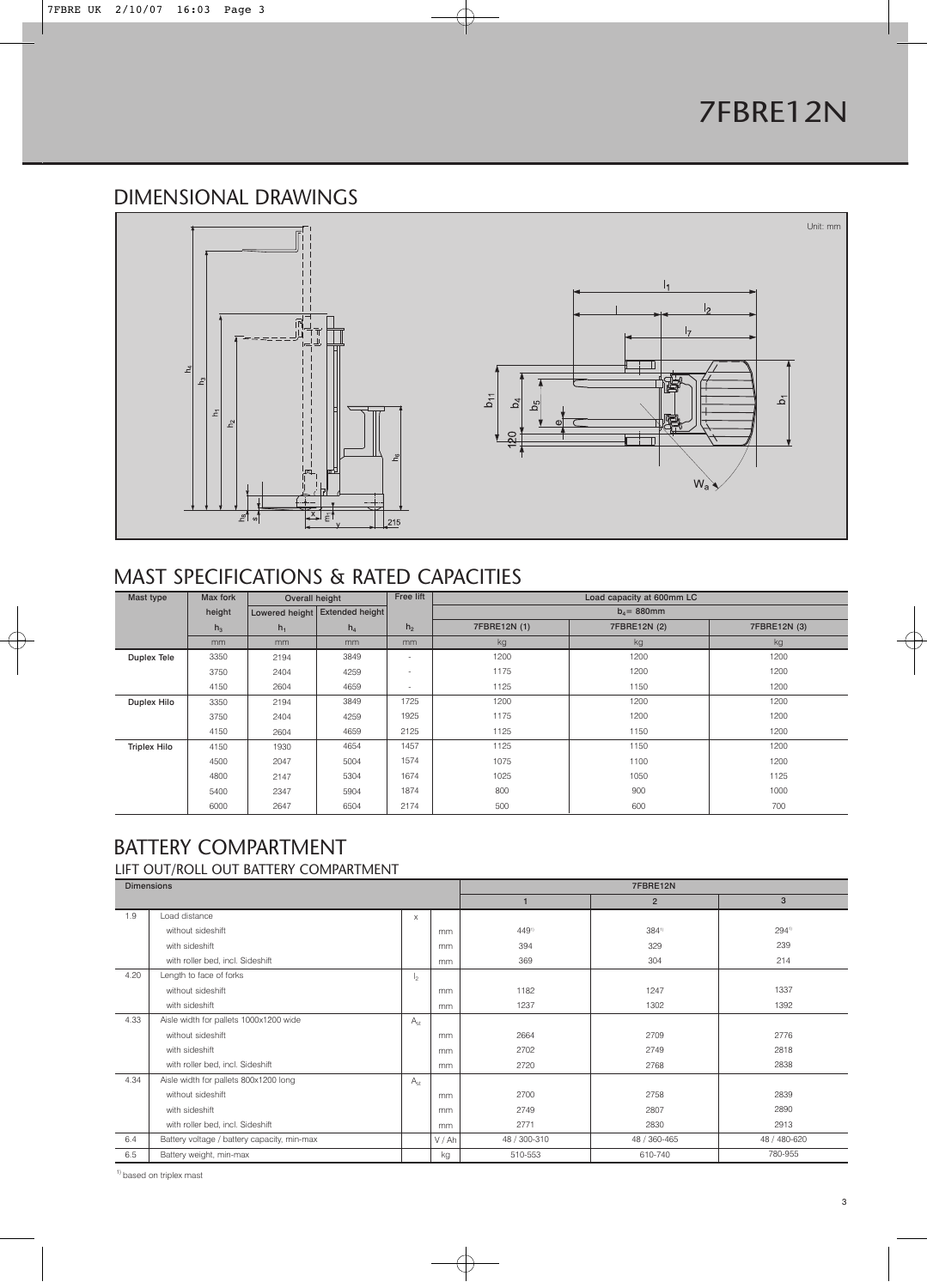### 7FBRE12N

#### DIMENSIONAL DRAWINGS



#### MAST SPECIFICATIONS & RATED CAPACITIES

| Mast type           | Max fork       | Overall height |                                  | Free lift                |              | Load capacity at 600mm LC |              |
|---------------------|----------------|----------------|----------------------------------|--------------------------|--------------|---------------------------|--------------|
|                     | height         |                | Lowered height   Extended height |                          |              | $b_4$ = 880mm             |              |
|                     | h <sub>3</sub> | $h_1$          | $h_4$                            | h <sub>2</sub>           | 7FBRE12N (1) | 7FBRE12N (2)              | 7FBRE12N (3) |
|                     | mm             | mm             | mm                               | mm                       | kg           | kg                        | kg           |
| Duplex Tele         | 3350           | 2194           | 3849                             | $\overline{\phantom{a}}$ | 1200         | 1200                      | 1200         |
|                     | 3750           | 2404           | 4259                             | $\overline{\phantom{a}}$ | 1175         | 1200                      | 1200         |
|                     | 4150           | 2604           | 4659                             | ٠                        | 1125         | 1150                      | 1200         |
| Duplex Hilo         | 3350           | 2194           | 3849                             | 1725                     | 1200         | 1200                      | 1200         |
|                     | 3750           | 2404           | 4259                             | 1925                     | 1175         | 1200                      | 1200         |
|                     | 4150           | 2604           | 4659                             | 2125                     | 1125         | 1150                      | 1200         |
| <b>Triplex Hilo</b> | 4150           | 1930           | 4654                             | 1457                     | 1125         | 1150                      | 1200         |
|                     | 4500           | 2047           | 5004                             | 1574                     | 1075         | 1100                      | 1200         |
|                     | 4800           | 2147           | 5304                             | 1674                     | 1025         | 1050                      | 1125         |
|                     | 5400           | 2347           | 5904                             | 1874                     | 800          | 900                       | 1000         |
|                     | 6000           | 2647           | 6504                             | 2174                     | 500          | 600                       | 700          |

#### BATTERY COMPARTMENT

#### LIFT OUT/ROLL OUT BATTERY COMPARTMENT

|      | <b>Dimensions</b>                           |                 |      | 7FBRE12N     |                |                     |  |  |  |
|------|---------------------------------------------|-----------------|------|--------------|----------------|---------------------|--|--|--|
|      |                                             |                 |      |              | $\overline{2}$ | 3                   |  |  |  |
| 1.9  | Load distance                               | $\times$        |      |              |                |                     |  |  |  |
|      | without sideshift                           |                 | mm   | 4491)        | $384^{11}$     | $294$ <sup>1)</sup> |  |  |  |
|      | with sideshift                              |                 | mm   | 394          | 329            | 239                 |  |  |  |
|      | with roller bed, incl. Sideshift            |                 | mm   | 369          | 304            | 214                 |  |  |  |
| 4.20 | Length to face of forks                     | ا وا            |      |              |                |                     |  |  |  |
|      | without sideshift                           |                 | mm   | 1182         | 1247           | 1337                |  |  |  |
|      | with sideshift                              |                 | mm   | 1237         | 1302           | 1392                |  |  |  |
| 4.33 | Aisle width for pallets 1000x1200 wide      | $A_{st}$        |      |              |                |                     |  |  |  |
|      | without sideshift                           |                 | mm   | 2664         | 2709           | 2776                |  |  |  |
|      | with sideshift                              |                 | mm   | 2702         | 2749           | 2818                |  |  |  |
|      | with roller bed, incl. Sideshift            |                 | mm   | 2720         | 2768           | 2838                |  |  |  |
| 4.34 | Aisle width for pallets 800x1200 long       | A <sub>st</sub> |      |              |                |                     |  |  |  |
|      | without sideshift                           |                 | mm   | 2700         | 2758           | 2839                |  |  |  |
|      | with sideshift                              |                 | mm   | 2749         | 2807           | 2890                |  |  |  |
|      | with roller bed, incl. Sideshift            |                 | mm   | 2771         | 2830           | 2913                |  |  |  |
| 6.4  | Battery voltage / battery capacity, min-max |                 | V/Ah | 48 / 300-310 | 48 / 360-465   | 48 / 480-620        |  |  |  |
| 6.5  | Battery weight, min-max                     |                 | kg   | 510-553      | 610-740        | 780-955             |  |  |  |

<sup>1)</sup> based on triplex mast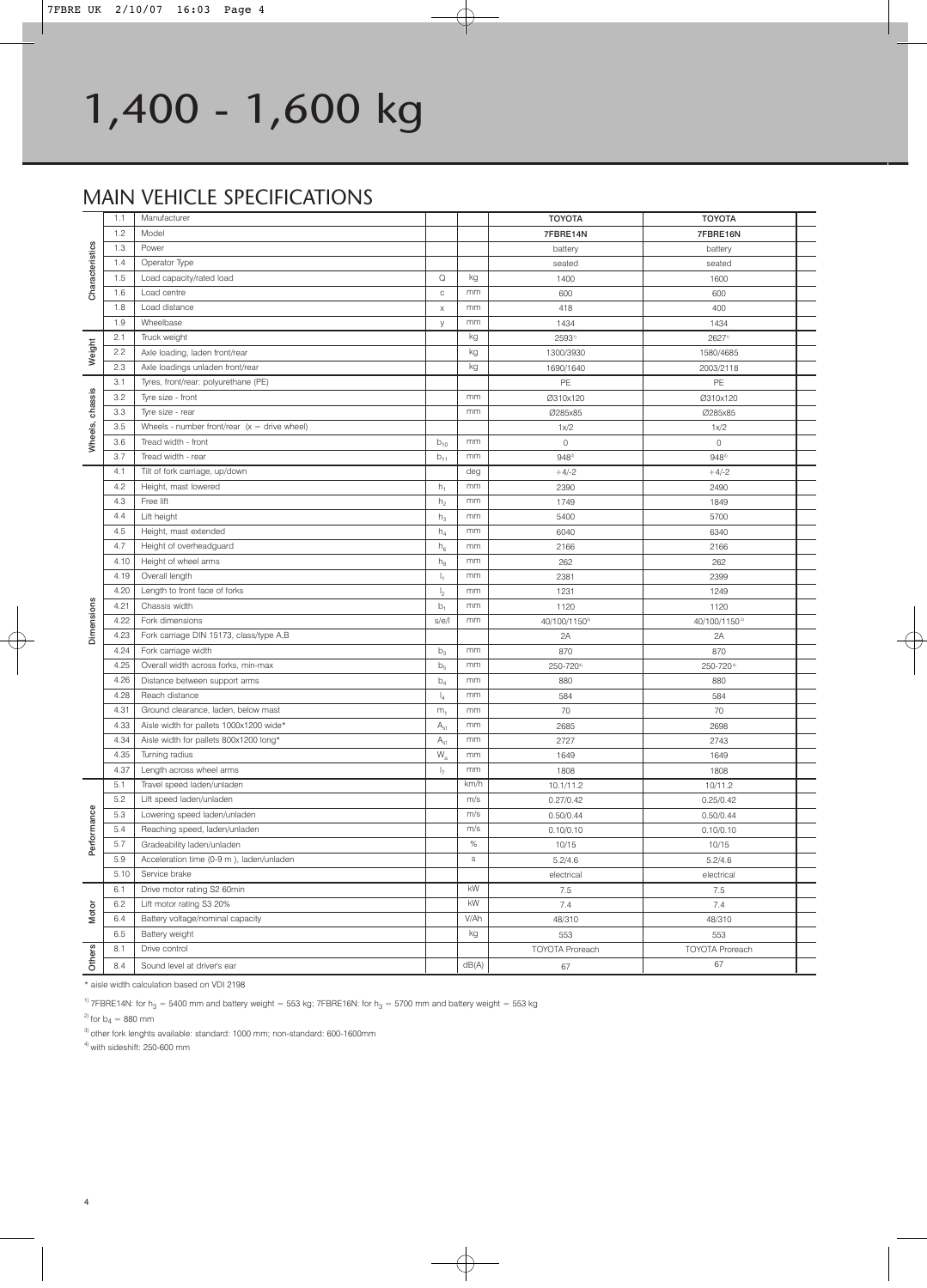## 1,400 - 1,600 kg

#### MAIN VEHICLE SPECIFICATIONS

|                 | 1.1         | Manufacturer                                       |                 |             | <b>TOYOTA</b>          | <b>TOYOTA</b>             |  |
|-----------------|-------------|----------------------------------------------------|-----------------|-------------|------------------------|---------------------------|--|
|                 | 1.2         | Model                                              |                 |             | 7FBRE14N               | 7FBRE16N                  |  |
| Characteristics | 1.3         | Power                                              |                 |             | battery                | battery                   |  |
|                 | 1.4         | Operator Type                                      |                 |             | seated                 | seated                    |  |
|                 | 1.5         | Load capacity/rated load                           | Q               | kg          | 1400                   | 1600                      |  |
|                 | 1.6         | Load centre                                        | $\mathbb C$     | mm          | 600                    | 600                       |  |
|                 | 1.8         | Load distance                                      | X               | mm          | 418                    | 400                       |  |
|                 | 1.9         | Wheelbase                                          | У               | mm          | 1434                   | 1434                      |  |
|                 | 2.1         | Truck weight                                       |                 | kg          | 25931                  | $2627$ <sup>1)</sup>      |  |
| Weight          | 2.2         | Axle loading, laden front/rear                     |                 | kg          | 1300/3930              | 1580/4685                 |  |
|                 | 2.3         | Axle loadings unladen front/rear                   |                 | kg          | 1690/1640              | 2003/2118                 |  |
|                 | 3.1         | Tyres, front/rear: polyurethane (PE)               |                 |             | PE                     | PE                        |  |
| chassis         | 3.2         | Tyre size - front                                  |                 | mm          | Ø310x120               | Ø310x120                  |  |
|                 | 3.3         | Tyre size - rear                                   |                 | mm          | Ø285x85                | Ø285x85                   |  |
| Wheels,         | 3.5         | Wheels - number front/rear $(x =$ drive wheel)     |                 |             | 1x/2                   | 1x/2                      |  |
|                 | 3.6         | Tread width - front                                | $b_{10}$        | mm          | $\mathbb O$            | 0                         |  |
|                 | 3.7         | Tread width - rear                                 | $b_{11}$        | mm          | $948^{2}$              | $948^2$                   |  |
|                 | 4.1         | Tilt of fork carriage, up/down                     |                 | deg         | $+4/-2$                | $+4/-2$                   |  |
|                 | 4.2         | Height, mast lowered                               | $h_1$           | mm          | 2390                   | 2490                      |  |
|                 | 4.3         | Free lift                                          | h <sub>2</sub>  | mm          | 1749                   | 1849                      |  |
|                 | 4.4         | Lift height                                        | $\mathsf{h}_3$  | mm          | 5400                   | 5700                      |  |
|                 | 4.5         | Height, mast extended                              | $h_4$           | mm          | 6040                   | 6340                      |  |
|                 | 4.7         | Height of overheadguard                            | $h_6$           | mm          | 2166                   | 2166                      |  |
|                 | 4.10        | Height of wheel arms                               | $h_8$           | mm          | 262                    | 262                       |  |
|                 | 4.19        | Overall length                                     | $\mathsf{I}_1$  | mm          | 2381                   | 2399                      |  |
|                 | 4.20        | Length to front face of forks                      | $\mathsf{I}_2$  | mm          | 1231                   | 1249                      |  |
| Dimensions      | 4.21        | Chassis width                                      | b <sub>1</sub>  | mm          | 1120                   | 1120                      |  |
|                 | 4.22        | Fork dimensions                                    | s/e/l           | mm          | 40/100/11503           | 40/100/1150 <sup>3)</sup> |  |
|                 | 4.23        | Fork carriage DIN 15173, class/type A,B            |                 |             | 2A                     | 2A                        |  |
|                 | 4.24        | Fork carriage width                                | $b_3$           | mm          | 870                    | 870                       |  |
|                 | 4.25        | Overall width across forks, min-max                | b <sub>5</sub>  | mm          | 250-7204               | 250-7204                  |  |
|                 | 4.26        | Distance between support arms                      | $b_4$           | mm          | 880                    | 880                       |  |
|                 | 4.28        | Reach distance                                     | $I_4$           | mm          | 584                    | 584                       |  |
|                 | 4.31        | Ground clearance, laden, below mast                | m <sub>1</sub>  | mm          | 70                     | 70                        |  |
|                 | 4.33        | Aisle width for pallets 1000x1200 wide*            | A <sub>st</sub> | mm          | 2685                   | 2698                      |  |
|                 | 4.34        | Aisle width for pallets 800x1200 long*             | A <sub>st</sub> | mm          | 2727                   | 2743                      |  |
|                 | 4.35        | Turning radius                                     | $W_{a}$         | mm          | 1649                   | 1649                      |  |
|                 | 4.37        | Length across wheel arms                           | $\mathsf{I}_7$  | mm          | 1808                   | 1808                      |  |
|                 | 5.1         | Travel speed laden/unladen                         |                 | km/h        | 10.1/11.2              | 10/11.2                   |  |
|                 | 5.2         | Lift speed laden/unladen                           |                 | m/s         | 0.27/0.42              | 0.25/0.42                 |  |
| Performance     | 5.3         | Lowering speed laden/unladen                       |                 | m/s         | 0.50/0.44              | 0.50/0.44                 |  |
|                 | 5.4         | Reaching speed, laden/unladen                      |                 | m/s         | 0.10/0.10              | 0.10/0.10                 |  |
|                 | 5.7         | Gradeability laden/unladen                         |                 | $\%$        | 10/15                  | 10/15                     |  |
|                 | 5.9<br>5.10 | Acceleration time (0-9 m), laden/unladen           |                 | $\mathbb S$ | 5.2/4.6                | 5.2/4.6                   |  |
|                 |             | Service brake<br>Drive motor rating S2 60min       |                 | kW          | electrical             | electrical                |  |
|                 | 6.1<br>6.2  |                                                    |                 | kW          | 7.5                    | 7.5                       |  |
| Motor           | 6.4         | Lift motor rating S3 20%                           |                 | V/Ah        | 7.4                    | 7.4                       |  |
|                 | 6.5         | Battery voltage/nominal capacity<br>Battery weight |                 | kg          | 48/310<br>553          | 48/310<br>553             |  |
|                 | 8.1         | Drive control                                      |                 |             | <b>TOYOTA Proreach</b> | <b>TOYOTA Proreach</b>    |  |
| <b>Others</b>   |             |                                                    |                 |             |                        | 67                        |  |
|                 | 8.4         | Sound level at driver's ear                        |                 | dB(A)       | 67                     |                           |  |

\* aisle width calculation based on VDI 2198

<sup>1)</sup> 7FBRE14N: for h<sub>3</sub> = 5400 mm and battery weight = 553 kg; 7FBRE16N: for h<sub>3</sub> = 5700 mm and battery weight = 553 kg

<sup>2)</sup> for  $b_4 = 880$  mm

 $^{3)}$  other fork lenghts available: standard:  $1000$  mm; non-standard:  $600-1600$ mm

4) with sideshift: 250-600 mm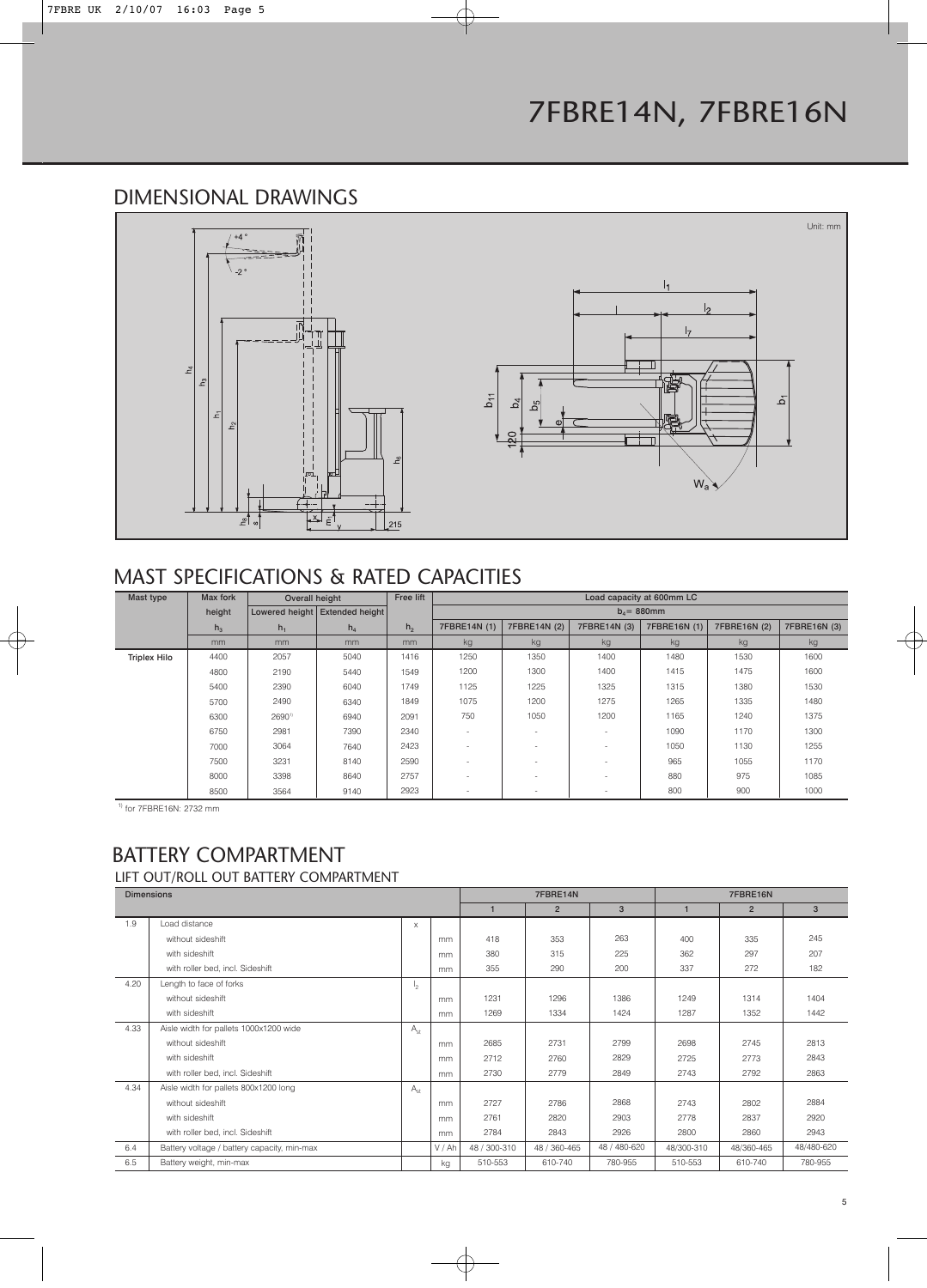

#### MAST SPECIFICATIONS & RATED CAPACITIES

| Mast type           | Max fork | Overall height |                                  | Free lift      | Load capacity at 600mm LC |                          |                          |              |              |              |  |
|---------------------|----------|----------------|----------------------------------|----------------|---------------------------|--------------------------|--------------------------|--------------|--------------|--------------|--|
|                     | height   |                | Lowered height   Extended height |                |                           | $b_4$ = 880mm            |                          |              |              |              |  |
|                     | $h_3$    | $h_1$          | $h_4$                            | h <sub>2</sub> | 7FBRE14N (1)              | 7FBRE14N (2)             | 7FBRE14N (3)             | 7FBRE16N (1) | 7FBRE16N (2) | 7FBRE16N (3) |  |
|                     | mm       | mm             | mm                               | mm             | kg                        | kg                       | kg                       | kg           | kg           | kg           |  |
| <b>Triplex Hilo</b> | 4400     | 2057           | 5040                             | 1416           | 1250                      | 1350                     | 1400                     | 1480         | 1530         | 1600         |  |
|                     | 4800     | 2190           | 5440                             | 1549           | 1200                      | 1300                     | 1400                     | 1415         | 1475         | 1600         |  |
|                     | 5400     | 2390           | 6040                             | 1749           | 1125                      | 1225                     | 1325                     | 1315         | 1380         | 1530         |  |
|                     | 5700     | 2490           | 6340                             | 1849           | 1075                      | 1200                     | 1275                     | 1265         | 1335         | 1480         |  |
|                     | 6300     | 26901)         | 6940                             | 2091           | 750                       | 1050                     | 1200                     | 1165         | 1240         | 1375         |  |
|                     | 6750     | 2981           | 7390                             | 2340           | $\sim$                    | ٠                        | $\overline{\phantom{a}}$ | 1090         | 1170         | 1300         |  |
|                     | 7000     | 3064           | 7640                             | 2423           | $\sim$                    | ٠                        | $\overline{\phantom{a}}$ | 1050         | 1130         | 1255         |  |
|                     | 7500     | 3231           | 8140                             | 2590           | $\sim$                    | $\overline{\phantom{a}}$ | ۰                        | 965          | 1055         | 1170         |  |
|                     | 8000     | 3398           | 8640                             | 2757           | $\sim$                    |                          | $\overline{\phantom{a}}$ | 880          | 975          | 1085         |  |
|                     | 8500     | 3564           | 9140                             | 2923           | $\sim$                    | ٠                        | $\overline{\phantom{a}}$ | 800          | 900          | 1000         |  |

1) for 7FBRE16N: 2732 mm

#### BATTERY COMPARTMENT

LIFT OUT/ROLL OUT BATTERY COMPARTMENT

| <b>Dimensions</b> |                                             |                 |               |                | 7FBRE14N       |              |            | 7FBRE16N       |              |
|-------------------|---------------------------------------------|-----------------|---------------|----------------|----------------|--------------|------------|----------------|--------------|
|                   |                                             |                 |               | $\overline{1}$ | $\overline{2}$ | $\mathbf{3}$ |            | $\overline{2}$ | $\mathbf{3}$ |
| 1.9               | Load distance                               | $\times$        |               |                |                |              |            |                |              |
|                   | without sideshift                           |                 | mm            | 418            | 353            | 263          | 400        | 335            | 245          |
|                   | with sideshift                              |                 | mm            | 380            | 315            | 225          | 362        | 297            | 207          |
|                   | with roller bed, incl. Sideshift            |                 | <sub>mm</sub> | 355            | 290            | 200          | 337        | 272            | 182          |
| 4.20              | Length to face of forks                     | <b>b</b>        |               |                |                |              |            |                |              |
|                   | without sideshift                           |                 | mm            | 1231           | 1296           | 1386         | 1249       | 1314           | 1404         |
|                   | with sideshift                              |                 | mm            | 1269           | 1334           | 1424         | 1287       | 1352           | 1442         |
| 4.33              | Aisle width for pallets 1000x1200 wide      | A <sub>st</sub> |               |                |                |              |            |                |              |
|                   | without sideshift                           |                 | mm            | 2685           | 2731           | 2799         | 2698       | 2745           | 2813         |
|                   | with sideshift                              |                 | mm            | 2712           | 2760           | 2829         | 2725       | 2773           | 2843         |
|                   | with roller bed, incl. Sideshift            |                 | mm            | 2730           | 2779           | 2849         | 2743       | 2792           | 2863         |
| 4.34              | Aisle width for pallets 800x1200 long       | A <sub>st</sub> |               |                |                |              |            |                |              |
|                   | without sideshift                           |                 | mm            | 2727           | 2786           | 2868         | 2743       | 2802           | 2884         |
|                   | with sideshift                              |                 | mm            | 2761           | 2820           | 2903         | 2778       | 2837           | 2920         |
|                   | with roller bed, incl. Sideshift            |                 | mm            | 2784           | 2843           | 2926         | 2800       | 2860           | 2943         |
| 6.4               | Battery voltage / battery capacity, min-max |                 | V/Ah          | 48 / 300-310   | 48 / 360-465   | 48 / 480-620 | 48/300-310 | 48/360-465     | 48/480-620   |
| 6.5               | Battery weight, min-max                     |                 | kg            | 510-553        | 610-740        | 780-955      | 510-553    | 610-740        | 780-955      |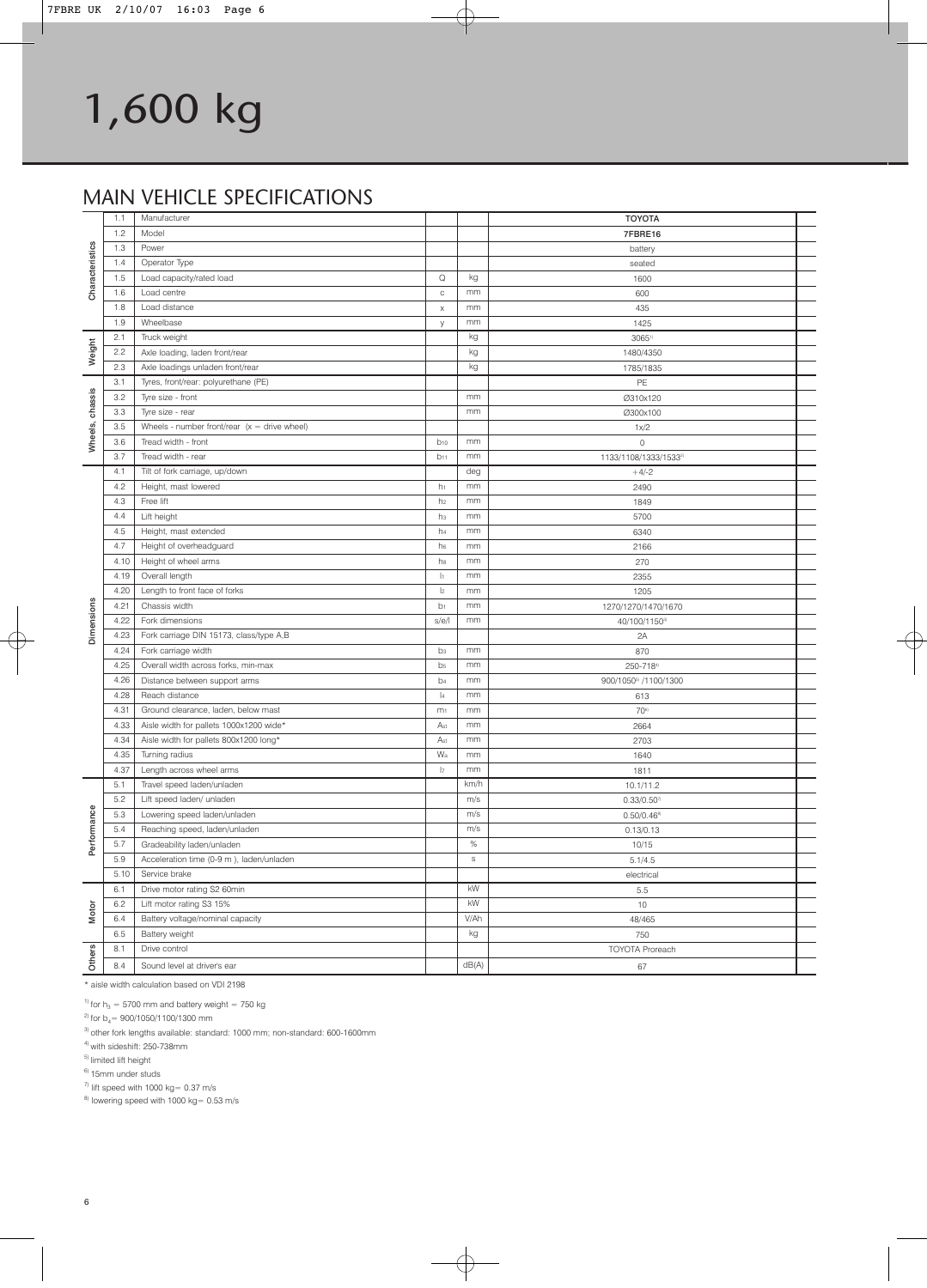|                 | 1.1   | Manufacturer                                   |                           |             | <b>TOYOTA</b>                     |  |
|-----------------|-------|------------------------------------------------|---------------------------|-------------|-----------------------------------|--|
|                 | 1.2   | Model                                          |                           |             | 7FBRE16                           |  |
|                 | 1.3   | Power                                          |                           |             | battery                           |  |
|                 | 1.4   | Operator Type                                  |                           |             | seated                            |  |
| Characteristics | 1.5   | Load capacity/rated load                       | $\mathsf Q$               | kg          | 1600                              |  |
|                 | 1.6   | Load centre                                    | $\mathbb C$               | mm          | 600                               |  |
|                 | 1.8   | Load distance                                  | $\boldsymbol{\mathsf{X}}$ | mm          | 435                               |  |
|                 | 1.9   | Wheelbase                                      | y                         | mm          | 1425                              |  |
|                 | 2.1   | Truck weight                                   |                           | kg          | $3065$ <sup>1)</sup>              |  |
| Weight          | 2.2   | Axle loading, laden front/rear                 |                           | kg          | 1480/4350                         |  |
|                 | 2.3   | Axle loadings unladen front/rear               |                           | kg          | 1785/1835                         |  |
|                 | 3.1   | Tyres, front/rear: polyurethane (PE)           |                           |             | PE                                |  |
|                 | 3.2   | Tyre size - front                              |                           | mm          | Ø310x120                          |  |
| Wheels, chassis | 3.3   | Tyre size - rear                               |                           | mm          | Ø300x100                          |  |
|                 | 3.5   | Wheels - number front/rear $(x =$ drive wheel) |                           |             | 1x/2                              |  |
|                 | 3.6   | Tread width - front                            | $b_{10}$                  | mm          | $\mathbb O$                       |  |
|                 | 3.7   | Tread width - rear                             | b <sub>11</sub>           | mm          | 1133/1108/1333/1533 <sup>2)</sup> |  |
|                 | 4.1   | Tilt of fork carriage, up/down                 |                           | deg         | $+4/-2$                           |  |
|                 | 4.2   | Height, mast lowered                           | h <sub>1</sub>            | mm          | 2490                              |  |
|                 | 4.3   | Free lift                                      | h <sub>2</sub>            | mm          | 1849                              |  |
|                 | 4.4   | Lift height                                    | hз                        | mm          | 5700                              |  |
|                 | 4.5   | Height, mast extended                          | h <sub>4</sub>            | mm          | 6340                              |  |
|                 | 4.7   | Height of overheadguard                        | h <sub>6</sub>            | mm          | 2166                              |  |
|                 | 4.10  | Height of wheel arms                           | hs                        | mm          | 270                               |  |
|                 | 4.19  | Overall length                                 | $ _1$                     | mm          | 2355                              |  |
|                 | 4.20  | Length to front face of forks                  | $ _{2}$                   | mm          | 1205                              |  |
|                 | 4.21  | Chassis width                                  | b <sub>1</sub>            | mm          | 1270/1270/1470/1670               |  |
| Dimensions      | 4.22  | Fork dimensions                                | s/e/l                     | mm          | 40/100/11503                      |  |
|                 | 4.23  | Fork carriage DIN 15173, class/type A,B        |                           |             | 2A                                |  |
|                 | 4.24  | Fork carriage width                            | bз                        | mm          | 870                               |  |
|                 | 4.25  | Overall width across forks, min-max            | b <sub>5</sub>            | mm          | 250-7184                          |  |
|                 | 4.26  | Distance between support arms                  | b <sub>4</sub>            | mm          | 900/1050 <sup>5</sup> /1100/1300  |  |
|                 | 4.28  | Reach distance                                 | $ _4$                     | mm          | 613                               |  |
|                 | 4.31  | Ground clearance, laden, below mast            | m <sub>1</sub>            | mm          | 706)                              |  |
|                 | 4.33  | Aisle width for pallets 1000x1200 wide*        | Ast                       | mm          | 2664                              |  |
|                 | 4.34  | Aisle width for pallets 800x1200 long*         | Ast                       | mm          | 2703                              |  |
|                 | 4.35  | Turning radius                                 | Wa                        | mm          | 1640                              |  |
|                 | 4.37  | Length across wheel arms                       | $ _7$                     | mm          | 1811                              |  |
|                 | 5.1   | Travel speed laden/unladen                     |                           | km/h        | 10.1/11.2                         |  |
|                 | 5.2   | Lift speed laden/ unladen                      |                           | m/s         | $0.33/0.50$ <sup>7</sup>          |  |
|                 | 5.3   | Lowering speed laden/unladen                   |                           | m/s         | $0.50/0.46$ <sup>8)</sup>         |  |
| formance        | 5.4   | Reaching speed, laden/unladen                  |                           | m/s         | 0.13/0.13                         |  |
| ھے<br>P         | $5.7$ | Gradeability laden/unladen                     |                           | $\%$        | 10/15                             |  |
|                 | 5.9   | Acceleration time (0-9 m), laden/unladen       |                           | $\mathbb S$ | 5.1/4.5                           |  |
|                 | 5.10  | Service brake                                  |                           |             | electrical                        |  |
|                 | 6.1   | Drive motor rating S2 60min                    |                           | kW          | 5.5                               |  |
| Motor           | 6.2   | Lift motor rating S3 15%                       |                           | kW          | 10                                |  |
|                 | 6.4   | Battery voltage/nominal capacity               |                           | V/Ah        | 48/465                            |  |
|                 | 6.5   | Battery weight                                 |                           | kg          | 750                               |  |
| Others          | 8.1   | Drive control                                  |                           |             | <b>TOYOTA Proreach</b>            |  |
|                 | 8.4   | Sound level at driver's ear                    |                           | dB(A)       | 67                                |  |

\* aisle width calculation based on VDI 2198

<sup>1)</sup> for  $h_3 = 5700$  mm and battery weight = 750 kg

<sup>2)</sup> for  $b_4$  = 900/1050/1100/1300 mm

3) other fork lengths available: standard: 1000 mm; non-standard: 600-1600mm

4) with sideshift: 250-738mm

5) limited lift height

 $6)$  15mm under studs

 $\frac{7}{10}$  lift speed with 1000 kg = 0.37 m/s

 $8)$  lowering speed with 1000 kg = 0.53 m/s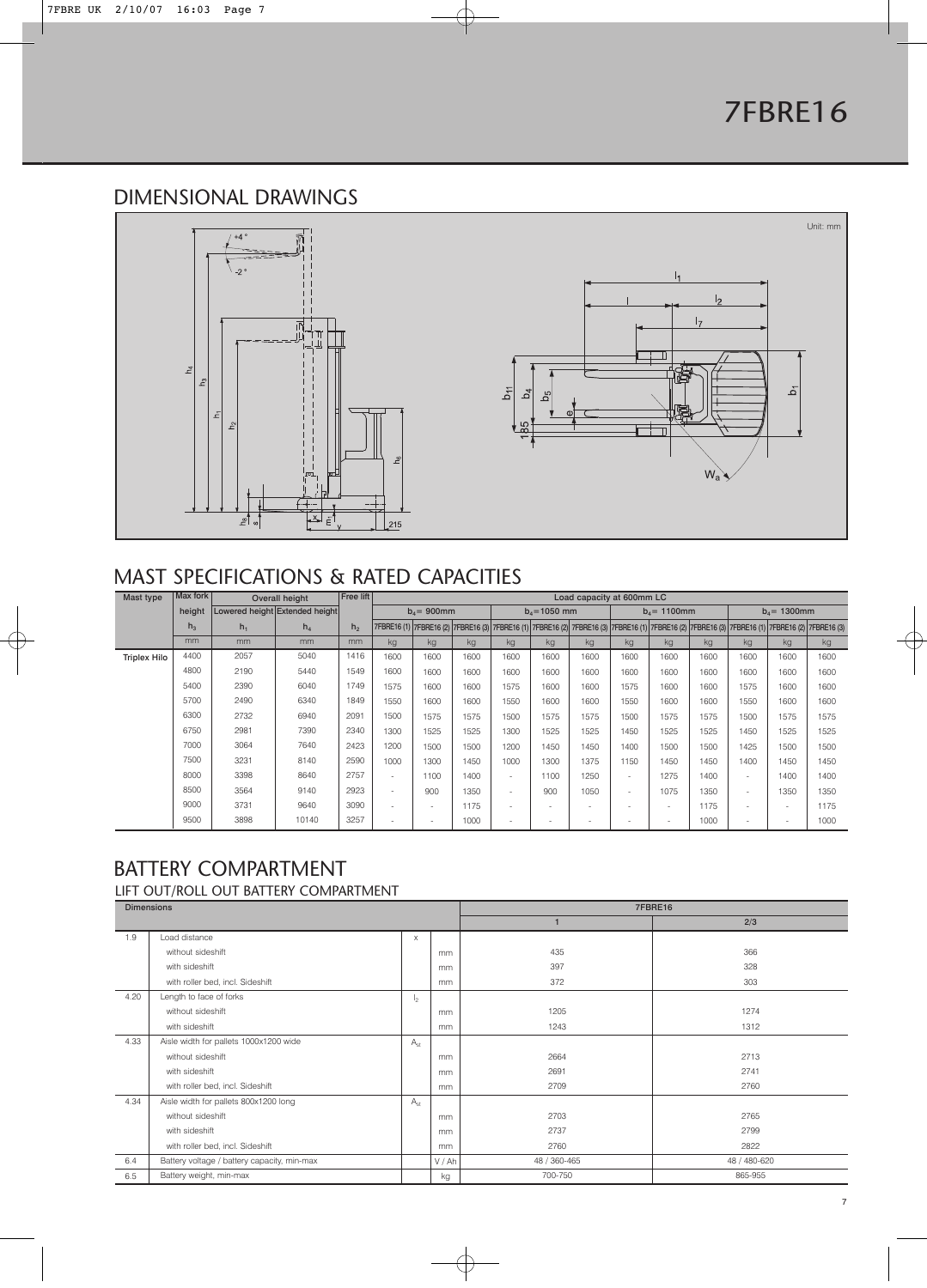

#### MAST SPECIFICATIONS & RATED CAPACITIES

| Mast type           | Max fork       |                | Overall height                 | <b>Free lift</b> | Load capacity at 600mm LC |                                                                                                                                                                                                                   |      |                          |                          |      |                          |                          |      |                          |                          |      |
|---------------------|----------------|----------------|--------------------------------|------------------|---------------------------|-------------------------------------------------------------------------------------------------------------------------------------------------------------------------------------------------------------------|------|--------------------------|--------------------------|------|--------------------------|--------------------------|------|--------------------------|--------------------------|------|
|                     | height         |                | Lowered height Extended height |                  |                           | $b_4$ = 900mm                                                                                                                                                                                                     |      |                          | $b_4$ =1050 mm           |      |                          | $b_4$ = 1100mm           |      |                          | $b_4$ = 1300mm           |      |
|                     | h <sub>3</sub> | $h_1$          | $h_4$                          | h <sub>2</sub>   |                           | 7FBRE16 (1)  7FBRE16 (2)  7FBRE16 (3)  7FBRE16 (1)   7FBRE16 (2)   7FBRE16 (3)  7FBRE16 (1)   7FBRE16 (2)  7FBRE16 (3)  7FBRE16 (1)  7FBRE16 (2)  7FBRE16 (2)  7FBRE16 (2)  7FBRE16 (3)  7FBRE16 (2)  7FBRE16 (3) |      |                          |                          |      |                          |                          |      |                          |                          |      |
|                     | m <sub>m</sub> | m <sub>m</sub> | m <sub>m</sub>                 | m <sub>m</sub>   | kg                        | kg                                                                                                                                                                                                                | kg   | kg                       | kg                       | kg   | kg                       | kg                       | kg   | kg                       | kg                       | kg   |
| <b>Triplex Hilo</b> | 4400           | 2057           | 5040                           | 1416             | 1600                      | 1600                                                                                                                                                                                                              | 1600 | 1600                     | 1600                     | 1600 | 1600                     | 1600                     | 1600 | 1600                     | 1600                     | 1600 |
|                     | 4800           | 2190           | 5440                           | 1549             | 1600                      | 1600                                                                                                                                                                                                              | 1600 | 1600                     | 1600                     | 1600 | 1600                     | 1600                     | 1600 | 1600                     | 1600                     | 1600 |
|                     | 5400           | 2390           | 6040                           | 1749             | 1575                      | 1600                                                                                                                                                                                                              | 1600 | 1575                     | 1600                     | 1600 | 1575                     | 1600                     | 1600 | 1575                     | 1600                     | 1600 |
|                     | 5700           | 2490           | 6340                           | 1849             | 1550                      | 1600                                                                                                                                                                                                              | 1600 | 1550                     | 1600                     | 1600 | 1550                     | 1600                     | 1600 | 1550                     | 1600                     | 1600 |
|                     | 6300           | 2732           | 6940                           | 2091             | 1500                      | 1575                                                                                                                                                                                                              | 1575 | 1500                     | 1575                     | 1575 | 1500                     | 1575                     | 1575 | 1500                     | 1575                     | 1575 |
|                     | 6750           | 2981           | 7390                           | 2340             | 1300                      | 1525                                                                                                                                                                                                              | 1525 | 1300                     | 1525                     | 1525 | 1450                     | 1525                     | 1525 | 1450                     | 1525                     | 1525 |
|                     | 7000           | 3064           | 7640                           | 2423             | 1200                      | 1500                                                                                                                                                                                                              | 1500 | 1200                     | 1450                     | 1450 | 1400                     | 1500                     | 1500 | 1425                     | 1500                     | 1500 |
|                     | 7500           | 3231           | 8140                           | 2590             | 1000                      | 1300                                                                                                                                                                                                              | 1450 | 1000                     | 1300                     | 1375 | 1150                     | 1450                     | 1450 | 1400                     | 1450                     | 1450 |
|                     | 8000           | 3398           | 8640                           | 2757             | $\sim$                    | 1100                                                                                                                                                                                                              | 1400 | $\overline{\phantom{a}}$ | 1100                     | 1250 | ٠                        | 1275                     | 1400 | $\sim$                   | 1400                     | 1400 |
|                     | 8500           | 3564           | 9140                           | 2923             | $\sim$                    | 900                                                                                                                                                                                                               | 1350 | $\overline{\phantom{a}}$ | 900                      | 1050 | $\sim$                   | 1075                     | 1350 | $\sim$                   | 1350                     | 1350 |
|                     | 9000           | 3731           | 9640                           | 3090             | $\sim$                    | $\sim$                                                                                                                                                                                                            | 1175 | $\overline{\phantom{a}}$ | $\overline{\phantom{a}}$ | ٠    | ٠                        | $\sim$                   | 1175 | $\sim$                   | $\sim$                   | 1175 |
|                     | 9500           | 3898           | 10140                          | 3257             | $\sim$                    | $\overline{\phantom{a}}$                                                                                                                                                                                          | 1000 | $\overline{\phantom{a}}$ | $\overline{\phantom{a}}$ | ۰    | $\overline{\phantom{a}}$ | $\overline{\phantom{a}}$ | 1000 | $\overline{\phantom{a}}$ | $\overline{\phantom{a}}$ | 1000 |

#### BATTERY COMPARTMENT

LIFT OUT/ROLL OUT BATTERY COMPARTMENT

| <b>Dimensions</b> |                                             |                 |               |              | 7FBRE16      |
|-------------------|---------------------------------------------|-----------------|---------------|--------------|--------------|
|                   |                                             |                 |               |              | 2/3          |
| 1.9               | Load distance                               | X               |               |              |              |
|                   | without sideshift                           |                 | mm            | 435          | 366          |
|                   | with sideshift                              |                 | mm            | 397          | 328          |
|                   | with roller bed, incl. Sideshift            |                 | <sub>mm</sub> | 372          | 303          |
| 4.20              | Length to face of forks                     | $\frac{1}{2}$   |               |              |              |
|                   | without sideshift                           |                 | <sub>mm</sub> | 1205         | 1274         |
|                   | with sideshift                              |                 | <sub>mm</sub> | 1243         | 1312         |
| 4.33              | Aisle width for pallets 1000x1200 wide      | A <sub>st</sub> |               |              |              |
|                   | without sideshift                           |                 | mm            | 2664         | 2713         |
|                   | with sideshift                              |                 | mm            | 2691         | 2741         |
|                   | with roller bed, incl. Sideshift            |                 | <sub>mm</sub> | 2709         | 2760         |
| 4.34              | Aisle width for pallets 800x1200 long       | A <sub>st</sub> |               |              |              |
|                   | without sideshift                           |                 | <sub>mm</sub> | 2703         | 2765         |
|                   | with sideshift                              |                 | <sub>mm</sub> | 2737         | 2799         |
|                   | with roller bed, incl. Sideshift            |                 | <sub>mm</sub> | 2760         | 2822         |
| 6.4               | Battery voltage / battery capacity, min-max |                 | V/Ah          | 48 / 360-465 | 48 / 480-620 |
| 6.5               | Battery weight, min-max                     |                 | kg            | 700-750      | 865-955      |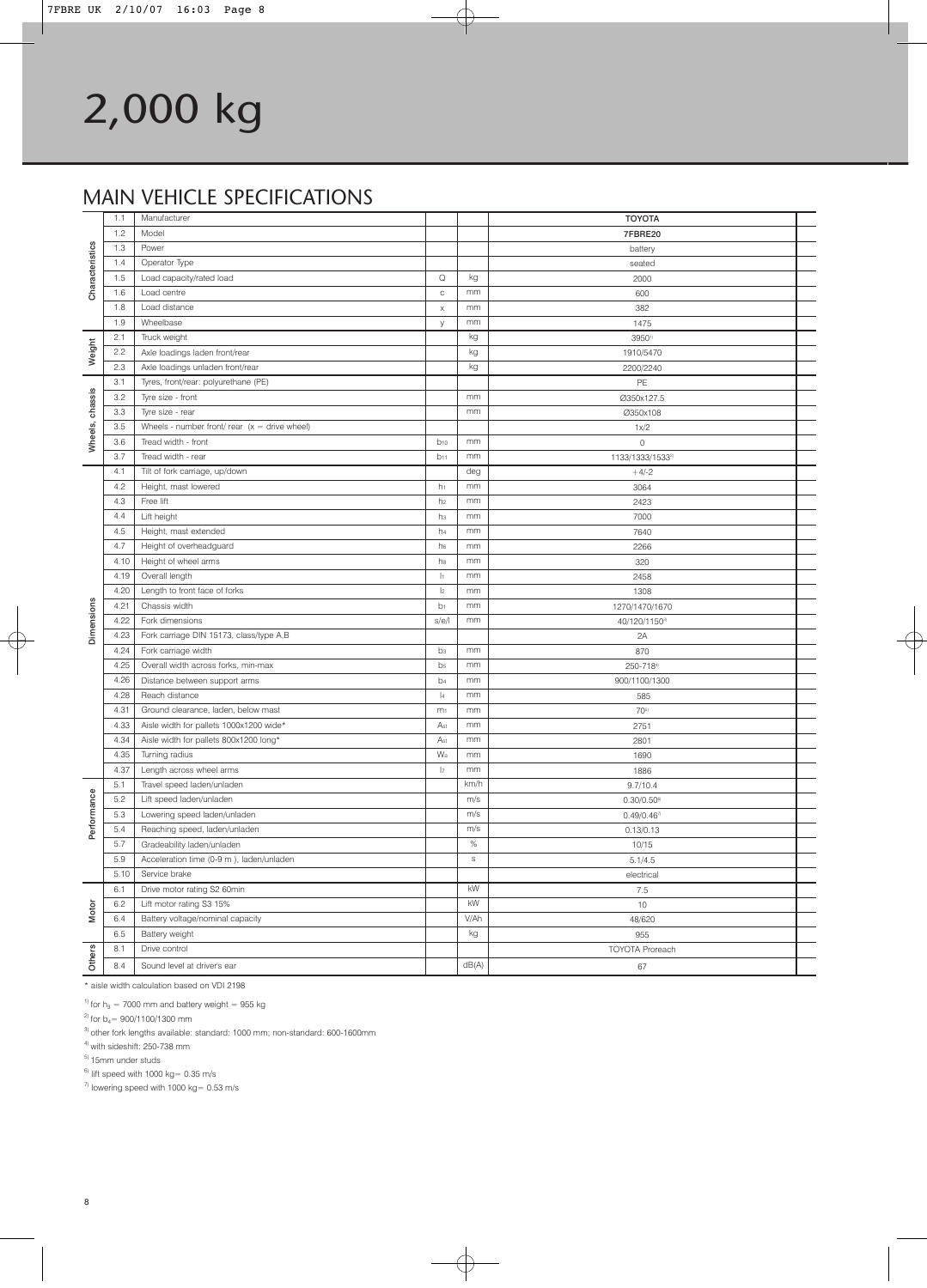|                 | 1.1  | Manufacturer                                   |                 |             | <b>TOYOTA</b>               |  |
|-----------------|------|------------------------------------------------|-----------------|-------------|-----------------------------|--|
|                 | 1.2  | Model                                          |                 |             | 7FBRE20                     |  |
|                 | 1.3  | Power                                          |                 |             | battery                     |  |
|                 | 1.4  | Operator Type                                  |                 |             | seated                      |  |
| Characteristics | 1.5  | Load capacity/rated load                       | Q               | kg          | 2000                        |  |
|                 | 1.6  | Load centre                                    | $\mathbb C$     | mm          | 600                         |  |
|                 | 1.8  | Load distance                                  | $\mathsf X$     | mm          | 382                         |  |
|                 | 1.9  | Wheelbase                                      | y               | mm          | 1475                        |  |
|                 | 2.1  | Truck weight                                   |                 | kg          | 39501)                      |  |
| Weight          | 2.2  | Axle loadings laden front/rear                 |                 | kg          | 1910/5470                   |  |
|                 | 2.3  | Axle loadings unladen front/rear               |                 | kg          | 2200/2240                   |  |
|                 | 3.1  | Tyres, front/rear: polyurethane (PE)           |                 |             | PE                          |  |
|                 | 3.2  | Tyre size - front                              |                 | mm          | Ø350x127.5                  |  |
|                 | 3.3  | Tyre size - rear                               |                 | mm          | Ø350x108                    |  |
|                 | 3.5  | Wheels - number front/rear $(x =$ drive wheel) |                 |             | 1x/2                        |  |
| Wheels, chassis | 3.6  | Tread width - front                            | $b_{10}$        | mm          | $\mathbb O$                 |  |
|                 | 3.7  | Tread width - rear                             | b <sub>11</sub> | mm          | 1133/1333/1533 <sup>2</sup> |  |
|                 | 4.1  | Tilt of fork carriage, up/down                 |                 | deg         | $+4/-2$                     |  |
|                 | 4.2  | Height, mast lowered                           | h <sub>1</sub>  | mm          | 3064                        |  |
|                 | 4.3  | Free lift                                      | h <sub>2</sub>  | mm          | 2423                        |  |
|                 | 4.4  | Lift height                                    | hз              | mm          | 7000                        |  |
|                 | 4.5  | Height, mast extended                          | h <sub>4</sub>  | mm          | 7640                        |  |
|                 | 4.7  | Height of overheadguard                        | h <sub>6</sub>  | mm          | 2266                        |  |
|                 | 4.10 | Height of wheel arms                           | hs              | mm          | 320                         |  |
|                 | 4.19 | Overall length                                 | $ _1$           | mm          | 2458                        |  |
|                 | 4.20 | Length to front face of forks                  | $ _{2}$         | mm          | 1308                        |  |
|                 | 4.21 | Chassis width                                  | b <sub>1</sub>  | mm          | 1270/1470/1670              |  |
| Dimensions      | 4.22 | Fork dimensions                                | s/e/l           | mm          | 40/120/11503                |  |
|                 | 4.23 | Fork carriage DIN 15173, class/type A,B        |                 |             | 2A                          |  |
|                 | 4.24 | Fork carriage width                            | bз              | mm          | 870                         |  |
|                 | 4.25 | Overall width across forks, min-max            | b <sub>5</sub>  | mm          | 250-7184                    |  |
|                 | 4.26 | Distance between support arms                  | b <sub>4</sub>  | mm          | 900/1100/1300               |  |
|                 | 4.28 | Reach distance                                 | $ _4$           | mm          | 585                         |  |
|                 | 4.31 | Ground clearance, laden, below mast            | m <sub>1</sub>  | mm          | 705)                        |  |
|                 | 4.33 | Aisle width for pallets 1000x1200 wide*        | Ast             | mm          | 2751                        |  |
|                 | 4.34 | Aisle width for pallets 800x1200 long*         | Ast             | mm          | 2801                        |  |
|                 | 4.35 | Turning radius                                 | Wa              | mm          | 1690                        |  |
|                 | 4.37 | Length across wheel arms                       | $ _7$           | mm          | 1886                        |  |
|                 | 5.1  | Travel speed laden/unladen                     |                 | km/h        | 9.7/10.4                    |  |
| Performance     | 5.2  | Lift speed laden/unladen                       |                 | m/s         | $0.30/0.50$ <sup>6)</sup>   |  |
|                 | 5.3  | Lowering speed laden/unladen                   |                 | m/s         | 0.49/0.467                  |  |
|                 | 5.4  | Reaching speed, laden/unladen                  |                 | m/s         | 0.13/0.13                   |  |
|                 | 5.7  | Gradeability laden/unladen                     |                 | $\%$        | 10/15                       |  |
|                 | 5.9  | Acceleration time (0-9 m), laden/unladen       |                 | $\mathbb S$ | 5.1/4.5                     |  |
|                 | 5.10 | Service brake                                  |                 |             | electrical                  |  |
|                 | 6.1  | Drive motor rating S2 60min                    |                 | kW          | 7.5                         |  |
| Motor           | 6.2  | Lift motor rating S3 15%                       |                 | kW          | 10                          |  |
|                 | 6.4  | Battery voltage/nominal capacity               |                 | V/Ah        | 48/620                      |  |
|                 | 6.5  | Battery weight                                 |                 | kg          | 955                         |  |
| <b>Others</b>   | 8.1  | Drive control                                  |                 |             | <b>TOYOTA Proreach</b>      |  |
|                 | 8.4  | Sound level at driver's ear                    |                 | dB(A)       | 67                          |  |

\* aisle width calculation based on VDI 2198

<sup>1)</sup> for  $h_3 = 7000$  mm and battery weight = 955 kg

<sup>2)</sup> for  $b_4$  = 900/1100/1300 mm

3) other fork lengths available: standard: 1000 mm; non-standard: 600-1600mm

4) with sideshift: 250-738 mm

5) 15mm under studs

 $^{6)}$  lift speed with 1000 kg = 0.35 m/s

 $7$  lowering speed with 1000 kg = 0.53 m/s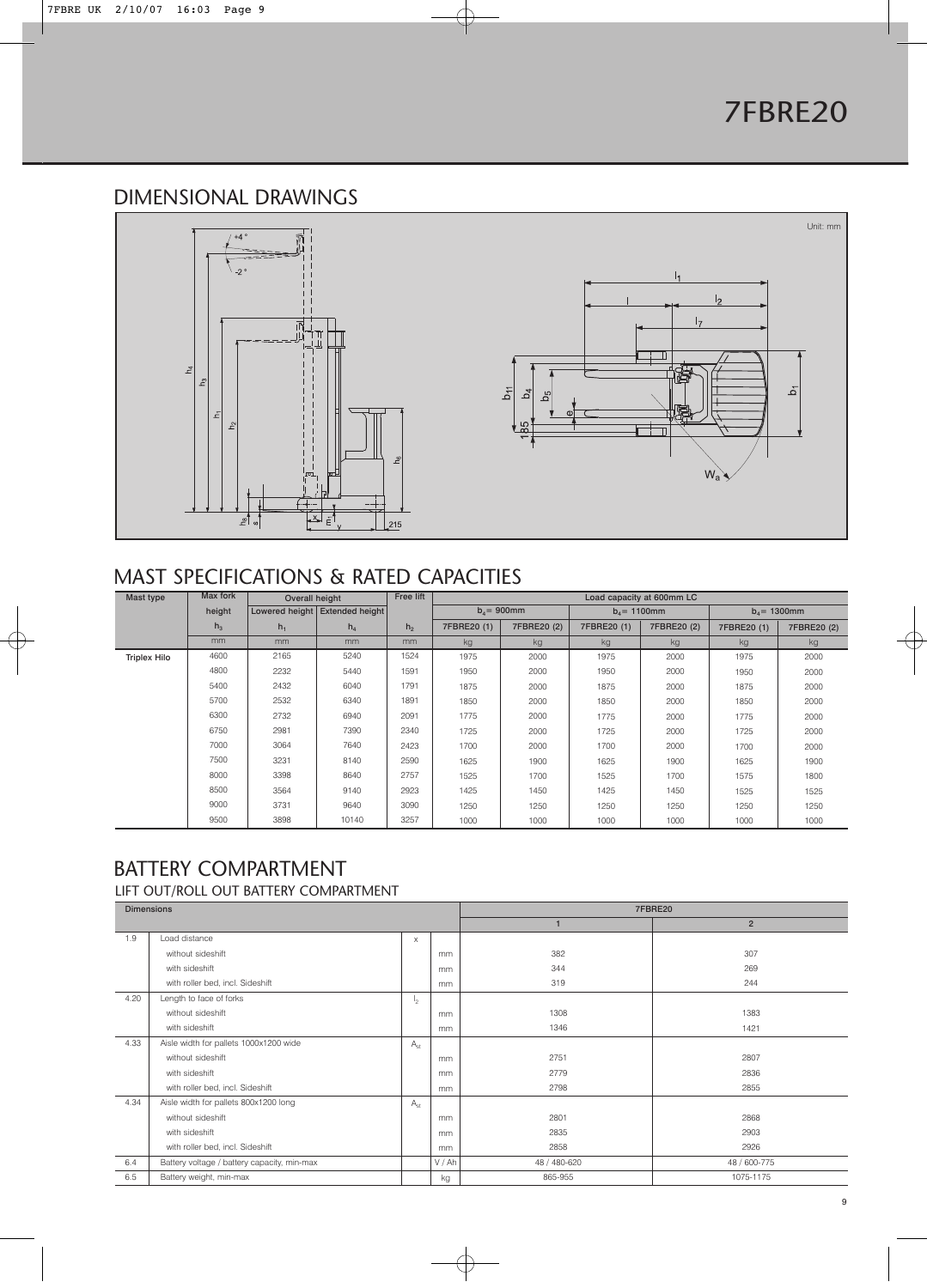

#### MAST SPECIFICATIONS & RATED CAPACITIES

| Mast type           | Max fork       | Overall height |                                  | Free lift      | Load capacity at 600mm LC  |               |                |             |             |                |  |
|---------------------|----------------|----------------|----------------------------------|----------------|----------------------------|---------------|----------------|-------------|-------------|----------------|--|
|                     | height         |                | Lowered height   Extended height |                |                            | $b_4$ = 900mm | $b_4$ = 1100mm |             |             | $b_4$ = 1300mm |  |
|                     | h <sub>3</sub> | $h_1$          | $h_4$                            | h <sub>2</sub> | 7FBRE20 (1)<br>7FBRE20 (2) |               | 7FBRE20 (1)    | 7FBRE20 (2) | 7FBRE20 (1) | 7FBRE20 (2)    |  |
|                     | mm             | mm             | mm                               | mm             | kg                         | kg            | kg             | kg          | kg          | kg             |  |
| <b>Triplex Hilo</b> | 4600           | 2165           | 5240                             | 1524           | 1975                       | 2000          | 1975           | 2000        | 1975        | 2000           |  |
|                     | 4800           | 2232           | 5440                             | 1591           | 1950                       | 2000          | 1950           | 2000        | 1950        | 2000           |  |
|                     | 5400           | 2432           | 6040                             | 1791           | 1875                       | 2000          | 1875           | 2000        | 1875        | 2000           |  |
|                     | 5700           | 2532           | 6340                             | 1891           | 1850                       | 2000          | 1850           | 2000        | 1850        | 2000           |  |
|                     | 6300           | 2732           | 6940                             | 2091           | 1775                       | 2000          | 1775           | 2000        | 1775        | 2000           |  |
|                     | 6750           | 2981           | 7390                             | 2340           | 1725                       | 2000          | 1725           | 2000        | 1725        | 2000           |  |
|                     | 7000           | 3064           | 7640                             | 2423           | 1700                       | 2000          | 1700           | 2000        | 1700        | 2000           |  |
|                     | 7500           | 3231           | 8140                             | 2590           | 1625                       | 1900          | 1625           | 1900        | 1625        | 1900           |  |
|                     | 8000           | 3398           | 8640                             | 2757           | 1525                       | 1700          | 1525           | 1700        | 1575        | 1800           |  |
|                     | 8500           | 3564           | 9140                             | 2923           | 1425                       | 1450          | 1425           | 1450        | 1525        | 1525           |  |
|                     | 9000           | 3731           | 9640                             | 3090           | 1250                       | 1250          | 1250           | 1250        | 1250        | 1250           |  |
|                     | 9500           | 3898           | 10140                            | 3257           | 1000                       | 1000          | 1000           | 1000        | 1000        | 1000           |  |

#### BATTERY COMPARTMENT

#### LIFT OUT/ROLL OUT BATTERY COMPARTMENT

|      | <b>Dimensions</b>                           |                 |      |              | 7FBRE20        |
|------|---------------------------------------------|-----------------|------|--------------|----------------|
|      |                                             |                 |      |              | $\overline{2}$ |
| 1.9  | Load distance                               | $\times$        |      |              |                |
|      | without sideshift                           |                 | mm   | 382          | 307            |
|      | with sideshift                              |                 | mm   | 344          | 269            |
|      | with roller bed, incl. Sideshift            |                 | mm   | 319          | 244            |
| 4.20 | Length to face of forks                     | l2.             |      |              |                |
|      | without sideshift                           |                 | mm   | 1308         | 1383           |
|      | with sideshift                              |                 | mm   | 1346         | 1421           |
| 4.33 | Aisle width for pallets 1000x1200 wide      | A <sub>st</sub> |      |              |                |
|      | without sideshift                           |                 | mm   | 2751         | 2807           |
|      | with sideshift                              |                 | mm   | 2779         | 2836           |
|      | with roller bed, incl. Sideshift            |                 | mm   | 2798         | 2855           |
| 4.34 | Aisle width for pallets 800x1200 long       | A <sub>st</sub> |      |              |                |
|      | without sideshift                           |                 | mm   | 2801         | 2868           |
|      | with sideshift                              |                 | mm   | 2835         | 2903           |
|      | with roller bed, incl. Sideshift            |                 | mm   | 2858         | 2926           |
| 6.4  | Battery voltage / battery capacity, min-max |                 | V/Ah | 48 / 480-620 | 48 / 600-775   |
| 6.5  | Battery weight, min-max                     |                 | kg   | 865-955      | 1075-1175      |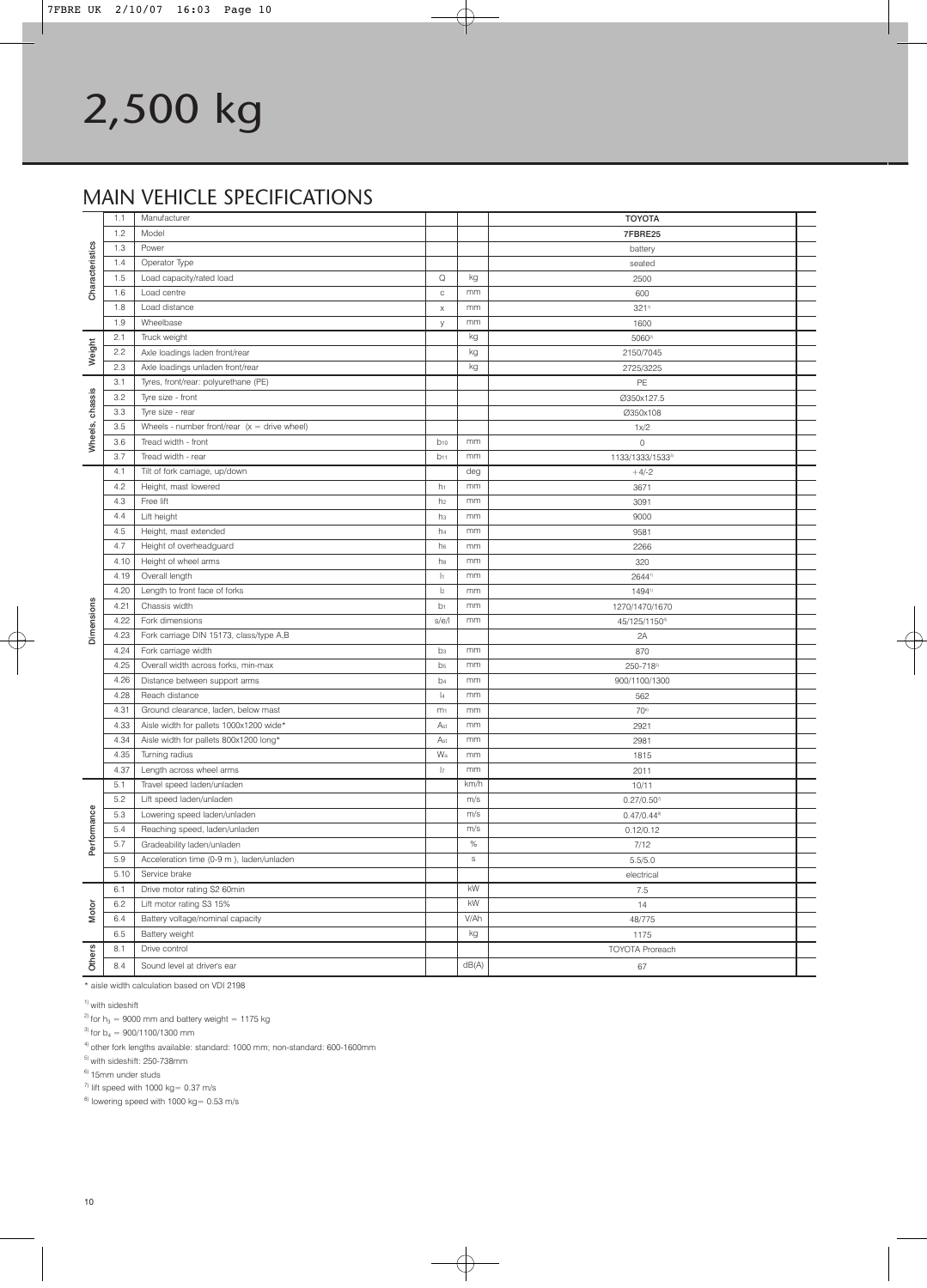|                 | 1.1   |                                                |                 |             |                              |  |
|-----------------|-------|------------------------------------------------|-----------------|-------------|------------------------------|--|
|                 | 1.2   | Manufacturer<br>Model                          |                 |             | <b>TOYOTA</b><br>7FBRE25     |  |
|                 | 1.3   | Power                                          |                 |             |                              |  |
|                 | 1.4   | Operator Type                                  |                 |             | battery                      |  |
| Characteristics | 1.5   | Load capacity/rated load                       | $\mathsf Q$     | kg          | seated<br>2500               |  |
|                 | 1.6   | Load centre                                    | $\mathbb C$     | mm          | 600                          |  |
|                 | 1.8   | Load distance                                  | $\mathsf X$     | mm          | $321^{11}$                   |  |
|                 | 1.9   | Wheelbase                                      | y               | mm          | 1600                         |  |
|                 | 2.1   | Truck weight                                   |                 | kg          | $5060^{2}$                   |  |
| Weight          | 2.2   | Axle loadings laden front/rear                 |                 | kg          | 2150/7045                    |  |
|                 | 2.3   | Axle loadings unladen front/rear               |                 | kg          | 2725/3225                    |  |
|                 | 3.1   | Tyres, front/rear: polyurethane (PE)           |                 |             | PE                           |  |
|                 | 3.2   | Tyre size - front                              |                 |             | Ø350x127.5                   |  |
| Wheels, chassis | 3.3   | Tyre size - rear                               |                 |             | Ø350x108                     |  |
|                 | 3.5   | Wheels - number front/rear $(x =$ drive wheel) |                 |             | 1x/2                         |  |
|                 | 3.6   | Tread width - front                            | $b_{10}$        | mm          | $\mathbb O$                  |  |
|                 | 3.7   | Tread width - rear                             | b <sub>11</sub> | mm          | 1133/1333/1533 <sup>3)</sup> |  |
|                 | 4.1   | Tilt of fork carriage, up/down                 |                 | deg         | $+4/-2$                      |  |
|                 | 4.2   | Height, mast lowered                           | h <sub>1</sub>  | mm          | 3671                         |  |
|                 | 4.3   | Free lift                                      | h <sub>2</sub>  | mm          | 3091                         |  |
|                 | 4.4   | Lift height                                    | hз              | mm          | 9000                         |  |
|                 | 4.5   | Height, mast extended                          | h <sub>4</sub>  | mm          | 9581                         |  |
|                 | 4.7   | Height of overheadguard                        | h <sub>6</sub>  | mm          | 2266                         |  |
|                 | 4.10  | Height of wheel arms                           | hs              | mm          | 320                          |  |
|                 | 4.19  | Overall length                                 | $ _1$           | mm          | 26441)                       |  |
|                 | 4.20  | Length to front face of forks                  | $ _{2}$         | mm          | 14941)                       |  |
|                 | 4.21  | Chassis width                                  | b <sub>1</sub>  | mm          | 1270/1470/1670               |  |
| Dimensions      | 4.22  | Fork dimensions                                | s/e/l           | mm          | 45/125/11504                 |  |
|                 | 4.23  | Fork carriage DIN 15173, class/type A,B        |                 |             | 2A                           |  |
|                 | 4.24  | Fork carriage width                            | bз              | mm          | 870                          |  |
|                 | 4.25  | Overall width across forks, min-max            | b <sub>5</sub>  | mm          | 250-7185)                    |  |
|                 | 4.26  | Distance between support arms                  | b <sub>4</sub>  | mm          | 900/1100/1300                |  |
|                 | 4.28  | Reach distance                                 | $ _4$           | mm          | 562                          |  |
|                 | 4.31  | Ground clearance, laden, below mast            | m <sub>1</sub>  | mm          | 706)                         |  |
|                 | 4.33  | Aisle width for pallets 1000x1200 wide*        | Ast             | mm          | 2921                         |  |
|                 | 4.34  | Aisle width for pallets 800x1200 long*         | Ast             | mm          | 2981                         |  |
|                 | 4.35  | Turning radius                                 | Wa              | mm          | 1815                         |  |
|                 | 4.37  | Length across wheel arms                       | $ _7$           | mm          | 2011                         |  |
|                 | 5.1   | Travel speed laden/unladen                     |                 | km/h        | 10/11                        |  |
|                 | 5.2   | Lift speed laden/unladen                       |                 | m/s         | $0.27/0.50^{n}$              |  |
|                 | 5.3   | Lowering speed laden/unladen                   |                 | m/s         | $0.47/0.44$ <sup>8)</sup>    |  |
| formance        | 5.4   | Reaching speed, laden/unladen                  |                 | m/s         | 0.12/0.12                    |  |
| 혼               | $5.7$ | Gradeability laden/unladen                     |                 | $\%$        | 7/12                         |  |
|                 | 5.9   | Acceleration time (0-9 m), laden/unladen       |                 | $\mathbb S$ | 5.5/5.0                      |  |
|                 | 5.10  | Service brake                                  |                 |             | electrical                   |  |
| Motor<br>Others | 6.1   | Drive motor rating S2 60min                    |                 | kW          | 7.5                          |  |
|                 | 6.2   | Lift motor rating S3 15%                       |                 | kW          | 14                           |  |
|                 | 6.4   | Battery voltage/nominal capacity               |                 | V/Ah        | 48/775                       |  |
|                 | 6.5   | Battery weight                                 |                 | kg          | 1175                         |  |
|                 | 8.1   | Drive control                                  |                 |             | <b>TOYOTA Proreach</b>       |  |
|                 | 8.4   | Sound level at driver's ear                    |                 | dB(A)       | 67                           |  |

\* aisle width calculation based on VDI 2198

<sup>1)</sup> with sideshift

<sup>2)</sup> for  $h_3 = 9000$  mm and battery weight = 1175 kg

<sup>3)</sup> for  $b_4 = 900/1100/1300$  mm

4) other fork lengths available: standard: 1000 mm; non-standard: 600-1600mm

5) with sideshift: 250-738mm

6) 15mm under studs

 $\frac{7}{1}$  lift speed with 1000 kg = 0.37 m/s

 $8)$  lowering speed with 1000 kg = 0.53 m/s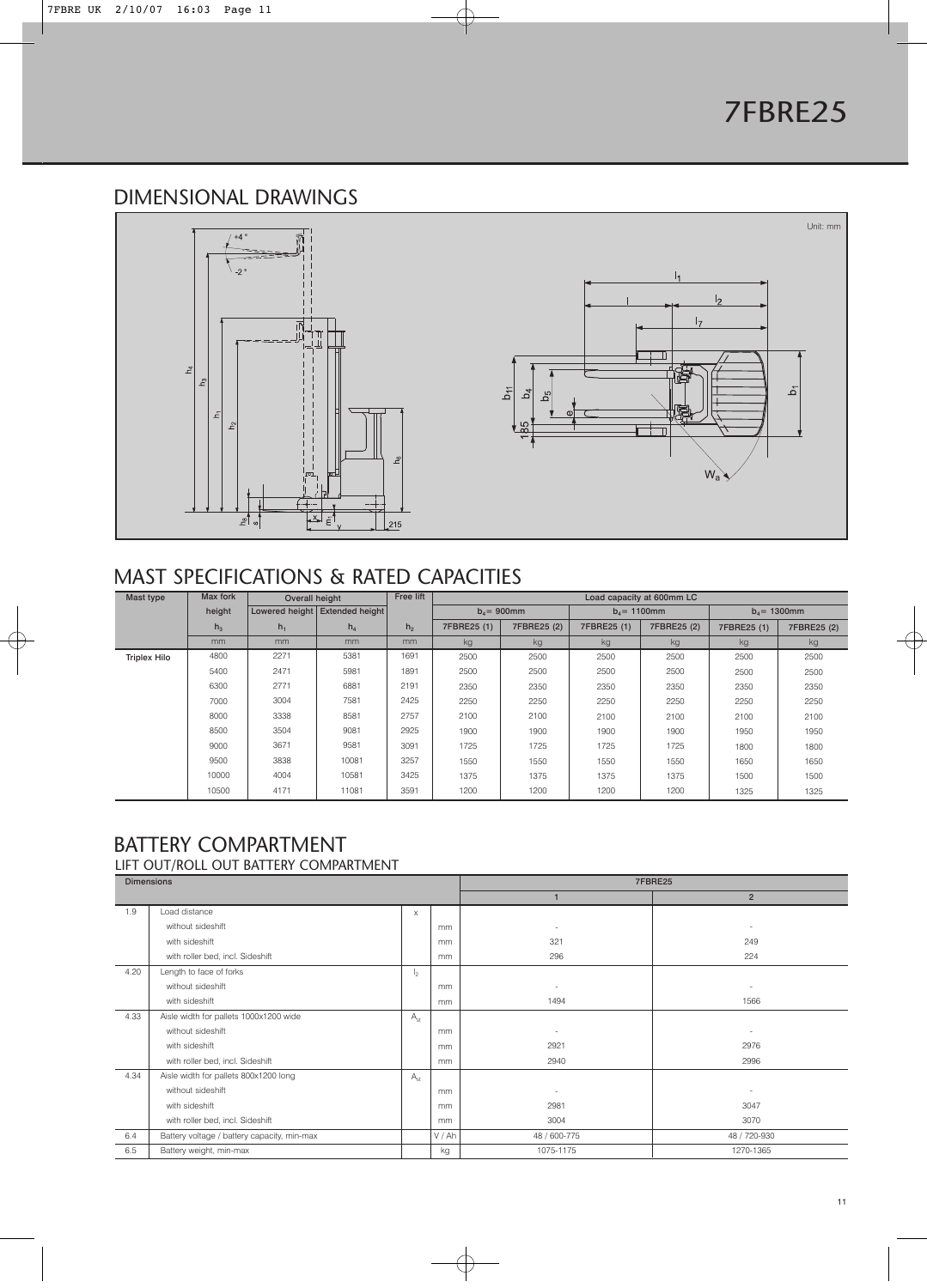

#### MAST SPECIFICATIONS & RATED CAPACITIES

| Mast type           | Max fork | Overall height |                                  | Free lift      | Load capacity at 600mm LC |             |                |             |                |             |
|---------------------|----------|----------------|----------------------------------|----------------|---------------------------|-------------|----------------|-------------|----------------|-------------|
|                     | height   |                | Lowered height   Extended height |                | $b_4$ = 900mm             |             | $b_4$ = 1100mm |             | $b_4$ = 1300mm |             |
|                     | $h_3$    | $h_{1}$        | $h_4$                            | h <sub>2</sub> | 7FBRE25 (1)               | 7FBRE25 (2) | 7FBRE25 (1)    | 7FBRE25 (2) | 7FBRE25 (1)    | 7FBRE25 (2) |
|                     | mm       | mm             | mm                               | m <sub>m</sub> | kg                        | kg          | kg             | kg          | kg             | kg          |
| <b>Triplex Hilo</b> | 4800     | 2271           | 5381                             | 1691           | 2500                      | 2500        | 2500           | 2500        | 2500           | 2500        |
|                     | 5400     | 2471           | 5981                             | 1891           | 2500                      | 2500        | 2500           | 2500        | 2500           | 2500        |
|                     | 6300     | 2771           | 6881                             | 2191           | 2350                      | 2350        | 2350           | 2350        | 2350           | 2350        |
|                     | 7000     | 3004           | 7581                             | 2425           | 2250                      | 2250        | 2250           | 2250        | 2250           | 2250        |
|                     | 8000     | 3338           | 8581                             | 2757           | 2100                      | 2100        | 2100           | 2100        | 2100           | 2100        |
|                     | 8500     | 3504           | 9081                             | 2925           | 1900                      | 1900        | 1900           | 1900        | 1950           | 1950        |
|                     | 9000     | 3671           | 9581                             | 3091           | 1725                      | 1725        | 1725           | 1725        | 1800           | 1800        |
|                     | 9500     | 3838           | 10081                            | 3257           | 1550                      | 1550        | 1550           | 1550        | 1650           | 1650        |
|                     | 10000    | 4004           | 10581                            | 3425           | 1375                      | 1375        | 1375           | 1375        | 1500           | 1500        |
|                     | 10500    | 4171           | 11081                            | 3591           | 1200                      | 1200        | 1200           | 1200        | 1325           | 1325        |

#### LIFT OUT/ROLL OUT BATTERY COMPARTMENT BATTERY COMPARTMENT

|      | <b>Dimensions</b>                           |                 |      | 7FBRE25                  |                          |  |  |
|------|---------------------------------------------|-----------------|------|--------------------------|--------------------------|--|--|
|      |                                             |                 |      |                          | $\overline{2}$           |  |  |
| 1.9  | Load distance                               | $\times$        |      |                          |                          |  |  |
|      | without sideshift                           |                 | mm   | ٠                        | $\overline{\phantom{a}}$ |  |  |
|      | with sideshift                              |                 | mm   | 321                      | 249                      |  |  |
|      | with roller bed, incl. Sideshift            |                 | mm   | 296                      | 224                      |  |  |
| 4.20 | Length to face of forks                     | l2              |      |                          |                          |  |  |
|      | without sideshift                           |                 | mm   | ٠                        | $\overline{\phantom{a}}$ |  |  |
|      | with sideshift                              |                 | mm   | 1494                     | 1566                     |  |  |
| 4.33 | Aisle width for pallets 1000x1200 wide      | A <sub>st</sub> |      |                          |                          |  |  |
|      | without sideshift                           |                 | mm   | $\overline{\phantom{a}}$ | $\sim$                   |  |  |
|      | with sideshift                              |                 | mm   | 2921                     | 2976                     |  |  |
|      | with roller bed, incl. Sideshift            |                 | mm   | 2940                     | 2996                     |  |  |
| 4.34 | Aisle width for pallets 800x1200 long       | A <sub>st</sub> |      |                          |                          |  |  |
|      | without sideshift                           |                 | mm   |                          |                          |  |  |
|      | with sideshift                              |                 | mm   | 2981                     | 3047                     |  |  |
|      | with roller bed, incl. Sideshift            |                 | mm   | 3004                     | 3070                     |  |  |
| 6.4  | Battery voltage / battery capacity, min-max |                 | V/Ah | 48 / 600-775             | 48 / 720-930             |  |  |
| 6.5  | Battery weight, min-max                     |                 | kg   | 1075-1175                | 1270-1365                |  |  |